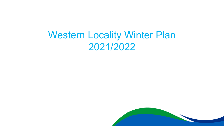# Western Locality Winter Plan 2021/2022

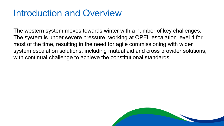### Introduction and Overview

The western system moves towards winter with a number of key challenges. The system is under severe pressure, working at OPEL escalation level 4 for most of the time, resulting in the need for agile commissioning with wider system escalation solutions, including mutual aid and cross provider solutions, with continual challenge to achieve the constitutional standards.

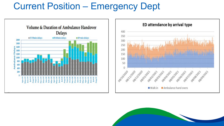## Current Position – Emergency Dept





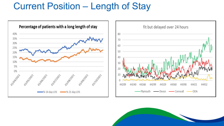### Current Position – Length of Stay



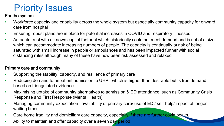# Priority Issues

#### For the system

- Workforce capacity and capability across the whole system but especially community capacity for onward care from hospital
- Ensuring robust plans are in place for potential increases in COVID and respiratory illnesses
- An acute trust with a known capital footprint which historically could not meet demand and is not of a size which can accommodate increasing numbers of people. The capacity is continually at risk of being saturated with small increase in people or ambulances and has been impacted further with social distancing rules although many of these have now been risk assessed and relaxed

#### Primary care and community

- Supporting the stability, capacity, and resilience of primary care
- Reducing demand for inpatient admission to UHP which is higher than desirable but is true demand based on triangulated evidence
- Maximising uptake of community alternatives to admission & ED attendance, such as Community Crisis Response and First Response (Mental Health)
- Managing community expectation availability of primary care/ use of ED / self-help/ impact of longer waiting times
- Care home fragility and domiciliary care capacity, especially if there are further covid peaks.
- Ability to maintain and offer capacity over a seven day period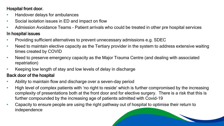#### Hospital front door.

- Handover delays for ambulances
- Social isolation issues in ED and impact on flow
- Admission Avoidance Teams Patient arrivals who could be treated in other pre hospital services

### In hospital issues

- Providing sufficient alternatives to prevent unnecessary admissions e.g. SDEC
- Need to maintain elective capacity as the Tertiary provider in the system to address extensive waiting times created by COVID
- Need to preserve emergency capacity as the Major Trauma Centre (and dealing with associated repatriation)
- Keeping low length of stay and low levels of delay in discharge

### Back door of the hospital

- Ability to maintain flow and discharge over a seven-day period
- High level of complex patients with 'no right to reside' which is further compromised by the increasing complexity of presentations both at the front door and for elective surgery. There is a risk that this is further compounded by the increasing age of patients admitted with Covid-19
- Capacity to ensure people are using the right pathway out of hospital to optimise their return to independence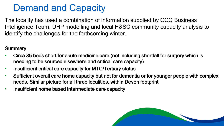## Demand and Capacity

The locality has used a combination of information supplied by CCG Business Intelligence Team, UHP modelling and local H&SC community capacity analysis to identify the challenges for the forthcoming winter.

### **Summary**

- Circa 85 beds short for acute medicine care (not including shortfall for surgery which is needing to be sourced elsewhere and critical care capacity)
- Insufficient critical care capacity for MTC/Tertiary status
- Sufficient overall care home capacity but not for dementia or for younger people with complex needs. Similar picture for all three localities, within Devon footprint
- Insufficient home based intermediate care capacity

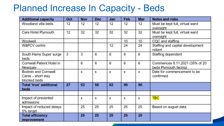### Planned Increase In Capacity - Beds

| <b>Additional capacity</b>     | Oct | Nov | <b>Dec</b> | Jan | Feb | Mar | <b>Notes and risks</b>           |
|--------------------------------|-----|-----|------------|-----|-----|-----|----------------------------------|
| Woodland villa beds            | 12  | 12  | 12         | 12  | 12  | 12  | Must be kept full, virtual ward  |
|                                |     |     |            |     |     |     | oversight                        |
| Care Hotel Plymouth            | 12  | 32  | 32         | 32  | 32  | 32  | Must be kept full, virtual ward  |
|                                |     |     |            |     |     |     | oversight                        |
| Woolwell                       |     |     |            |     | 10  | 10  | CQC and staffing                 |
| W&PCV centre                   |     |     |            | 12  | 24  | 24  | Staffing and capital development |
|                                |     |     |            |     |     |     | reliant                          |
| South Hams Super surge         | 3   | 3   | 6          | 6   | 6   | 6   | Staffing dependent               |
| beds                           |     |     |            |     |     |     |                                  |
| Cornwall Patient Hotel in      |     | 6   | 6          | 6   | 6   | 6   | Commences 8.11.2021 (35% of 20   |
| Newquay                        |     |     |            |     |     |     | beds Plymouth facing)            |
| Bodmin and Cornwall            |     | х   | x          | x   | x   | х   | Date for commencement to be      |
| Cares - short stay             |     |     |            |     |     |     | confirmed                        |
| blocked beds                   |     |     |            |     |     |     |                                  |
| <b>Total 'true' additional</b> | 27  | 53  | 56         | 62  | 90  | 90  |                                  |
| beds                           |     |     |            |     |     |     |                                  |
|                                |     |     |            |     |     |     |                                  |
| Impact of prevented            |     | х   | х          | x   | х   | X   | TBC                              |
| admissions                     |     |     |            |     |     |     |                                  |
| Impact of reduced delays       |     | 25  | 25         | 25  | 25  | 25  | Based on august data.            |
| 5% target                      |     |     |            |     |     |     |                                  |
| <b>Total efficiency</b>        |     | 25  | 25         | 25  | 25  | 25  |                                  |
| improvement                    |     |     |            |     |     |     |                                  |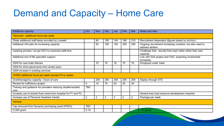### Demand and Capacity – Home Care

| Additional capacity                                                | Oct        | Nov | <b>Dec</b> | Jan            | Feb            | Mar | Notes and risks                                                               |
|--------------------------------------------------------------------|------------|-----|------------|----------------|----------------|-----|-------------------------------------------------------------------------------|
| Plymouth - additional hours per week                               |            |     |            |                |                |     |                                                                               |
| 25wte additional staff being recruited by Livewell.                |            | 60  | 100        | 140            | 180            | 210 | Recruitment dependent (figures based on oct/nov).                             |
| Additional IAH plan for increasing capacity                        |            | 50  | 100        | 150            | 200            | 250 | Ongoing recruitment increasing numbers, but also need to<br>address attrition |
| Layering process \ as per DCC to maximise staff time.              |            |     |            |                |                |     | Challenge that recruits from each other rather than new<br>capacity.          |
| Additional end of life specialist support                          |            |     |            |                |                |     | Link with D2A project and CHC, expecting incremental<br>increases.            |
| GSW for care hotel Abicare                                         |            | 70  | 70         | 70             | 70             | 70  | Employed under hotel.                                                         |
| GSW for short placements from stroke ward.                         |            |     |            |                |                |     |                                                                               |
| GSW increase in existing services.                                 |            |     |            |                |                |     |                                                                               |
| SHWD additional hours per week (except PA is cases)                |            |     |            |                |                |     |                                                                               |
| Overtime/agency capacity - hours of care                           |            | 200 | 200        | 200            | 200            | 200 | Deploy through STS                                                            |
| Review for sufficiency project                                     | 5          | 10  | 15         | 20             | 25             | 30  |                                                                               |
| Training and guidance for providers reducing double-handed<br>care | <b>TBC</b> |     |            |                |                |     |                                                                               |
| Increase use of shared lives home from hospital for P1 and P2      |            |     |            |                |                |     | Shared lives host resource development required                               |
| Increase use of Personal Assistant market                          | 2          | 2   | 2          | $\overline{c}$ | $\overline{2}$ | 2   | Package per week                                                              |
| <b>Kernow</b>                                                      |            |     |            |                |                |     |                                                                               |
| Cap removed from Dynamic purchasing (post STEPs)                   | <b>TBC</b> |     |            |                |                |     |                                                                               |
| £1200 grant                                                        | $5 - 10$   |     |            |                |                |     | On going                                                                      |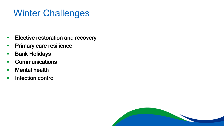## Winter Challenges

- **Elective restoration and recovery**
- **Primary care resilience**
- **Bank Holidays**
- **-** Communications
- **Nental health**
- **Infection control**